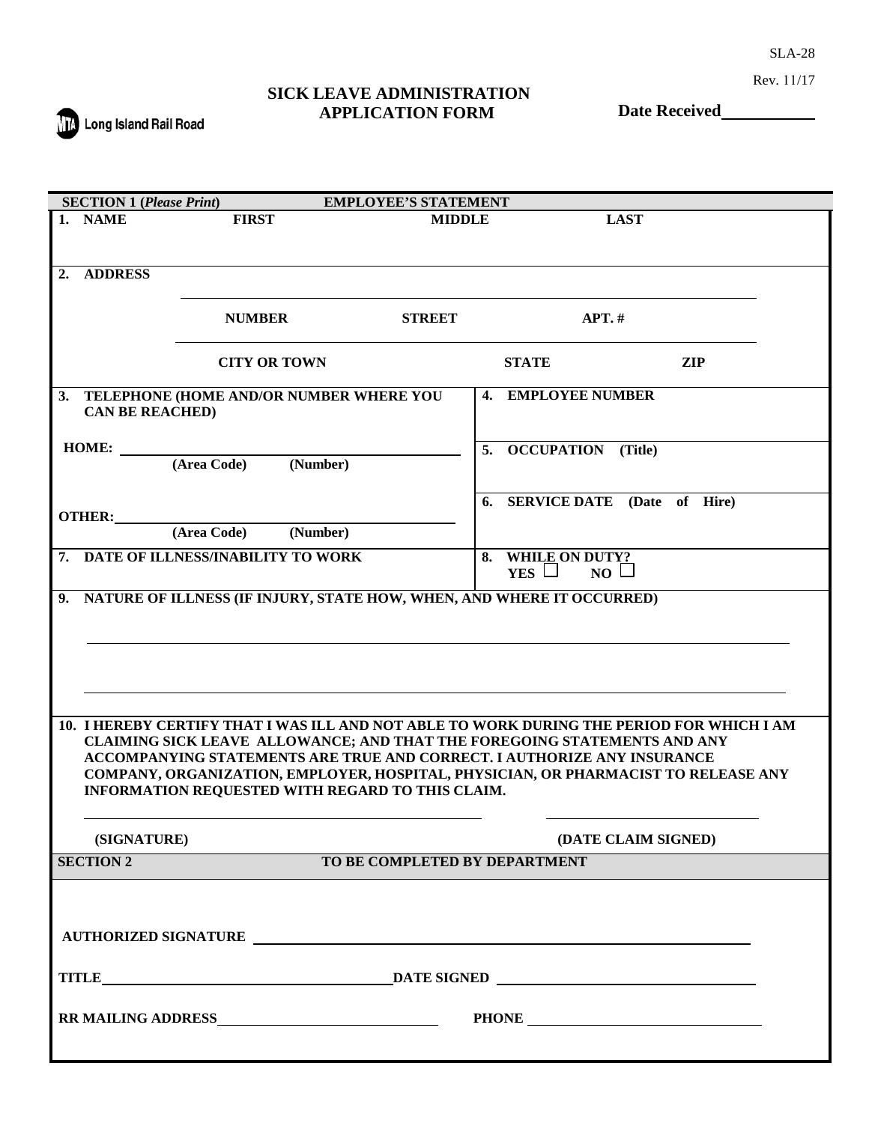SLA-28

Rev. 11/17

## **SICK LEAVE ADMINISTRATION APPLICATION FORM**

**The Long Island Rail Road** 

**Date Received**

|    | <b>SECTION 1 (Please Print)</b><br><b>EMPLOYEE'S STATEMENT</b> |                                                                          |                               |                                                                                           |  |
|----|----------------------------------------------------------------|--------------------------------------------------------------------------|-------------------------------|-------------------------------------------------------------------------------------------|--|
|    | 1. NAME                                                        | <b>FIRST</b>                                                             | <b>MIDDLE</b>                 | <b>LAST</b>                                                                               |  |
|    |                                                                |                                                                          |                               |                                                                                           |  |
|    |                                                                |                                                                          |                               |                                                                                           |  |
| 2. | <b>ADDRESS</b>                                                 |                                                                          |                               |                                                                                           |  |
|    |                                                                |                                                                          |                               |                                                                                           |  |
|    |                                                                | <b>NUMBER</b>                                                            | <b>STREET</b>                 | $APT.$ #                                                                                  |  |
|    |                                                                |                                                                          |                               |                                                                                           |  |
|    |                                                                | <b>CITY OR TOWN</b>                                                      |                               | <b>STATE</b><br>ZIP                                                                       |  |
|    |                                                                |                                                                          |                               |                                                                                           |  |
|    |                                                                | 3. TELEPHONE (HOME AND/OR NUMBER WHERE YOU                               |                               | 4. EMPLOYEE NUMBER                                                                        |  |
|    | <b>CAN BE REACHED)</b>                                         |                                                                          |                               |                                                                                           |  |
|    |                                                                |                                                                          |                               |                                                                                           |  |
|    | <b>HOME:</b>                                                   | (Number)<br>(Area Code)                                                  | 5.                            | <b>OCCUPATION</b> (Title)                                                                 |  |
|    |                                                                |                                                                          |                               |                                                                                           |  |
|    |                                                                |                                                                          |                               | 6. SERVICE DATE (Date of Hire)                                                            |  |
|    | <b>OTHER:</b>                                                  |                                                                          |                               |                                                                                           |  |
|    |                                                                | (Area Code)<br>(Number)                                                  |                               |                                                                                           |  |
|    |                                                                | 7. DATE OF ILLNESS/INABILITY TO WORK                                     |                               | 8. WHILE ON DUTY?                                                                         |  |
|    |                                                                |                                                                          |                               | YES $\Box$<br>$NO \Box$                                                                   |  |
|    |                                                                | 9. NATURE OF ILLNESS (IF INJURY, STATE HOW, WHEN, AND WHERE IT OCCURRED) |                               |                                                                                           |  |
|    |                                                                |                                                                          |                               |                                                                                           |  |
|    |                                                                |                                                                          |                               |                                                                                           |  |
|    |                                                                |                                                                          |                               |                                                                                           |  |
|    |                                                                |                                                                          |                               |                                                                                           |  |
|    |                                                                |                                                                          |                               |                                                                                           |  |
|    |                                                                |                                                                          |                               |                                                                                           |  |
|    |                                                                |                                                                          |                               | 10. I HEREBY CERTIFY THAT I WAS ILL AND NOT ABLE TO WORK DURING THE PERIOD FOR WHICH I AM |  |
|    |                                                                | ACCOMPANYING STATEMENTS ARE TRUE AND CORRECT. I AUTHORIZE ANY INSURANCE  |                               | CLAIMING SICK LEAVE ALLOWANCE; AND THAT THE FOREGOING STATEMENTS AND ANY                  |  |
|    |                                                                |                                                                          |                               | COMPANY, ORGANIZATION, EMPLOYER, HOSPITAL, PHYSICIAN, OR PHARMACIST TO RELEASE ANY        |  |
|    |                                                                | INFORMATION REQUESTED WITH REGARD TO THIS CLAIM.                         |                               |                                                                                           |  |
|    |                                                                |                                                                          |                               |                                                                                           |  |
|    |                                                                |                                                                          |                               |                                                                                           |  |
|    | (SIGNATURE)                                                    |                                                                          |                               | (DATE CLAIM SIGNED)                                                                       |  |
|    | <b>SECTION 2</b>                                               |                                                                          | TO BE COMPLETED BY DEPARTMENT |                                                                                           |  |
|    |                                                                |                                                                          |                               |                                                                                           |  |
|    |                                                                |                                                                          |                               |                                                                                           |  |
|    |                                                                |                                                                          |                               |                                                                                           |  |
|    |                                                                | AUTHORIZED SIGNATURE                                                     |                               |                                                                                           |  |
|    |                                                                |                                                                          |                               |                                                                                           |  |
|    |                                                                |                                                                          |                               |                                                                                           |  |
|    |                                                                |                                                                          |                               |                                                                                           |  |
|    |                                                                |                                                                          |                               |                                                                                           |  |
|    |                                                                |                                                                          |                               |                                                                                           |  |
|    |                                                                |                                                                          |                               |                                                                                           |  |